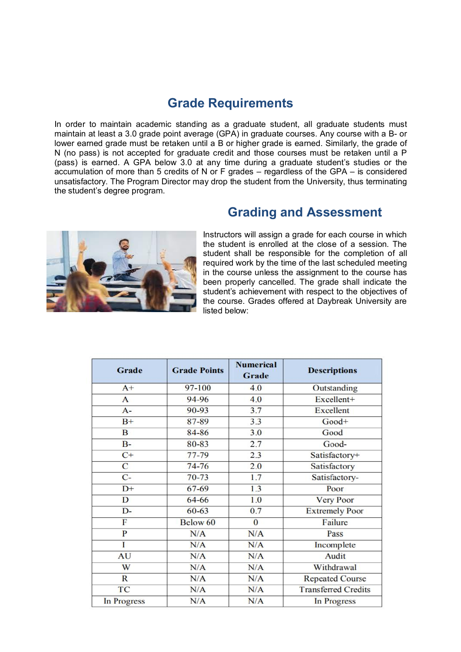## **Grade Requirements**

In order to maintain academic standing as a graduate student, all graduate students must maintain at least a 3.0 grade point average (GPA) in graduate courses. Any course with a B- or lower earned grade must be retaken until a B or higher grade is earned. Similarly, the grade of N (no pass) is not accepted for graduate credit and those courses must be retaken until a P (pass) is earned. A GPA below 3.0 at any time during a graduate student's studies or the accumulation of more than 5 credits of N or F grades – regardless of the GPA – is considered unsatisfactory. The Program Director may drop the student from the University, thus terminating the student's degree program.



## **Grading and Assessment**

Instructors will assign a grade for each course in which the student is enrolled at the close of a session. The student shall be responsible for the completion of all required work by the time of the last scheduled meeting in the course unless the assignment to the course has been properly cancelled. The grade shall indicate the student's achievement with respect to the objectives of the course. Grades offered at Daybreak University are listed below:

| <b>Grade</b> | <b>Grade Points</b> | <b>Numerical</b><br>Grade | <b>Descriptions</b>        |
|--------------|---------------------|---------------------------|----------------------------|
| $A+$         | 97-100              | 4.0                       | Outstanding                |
| $\mathbf{A}$ | 94-96               | 4.0                       | Excellent+                 |
| $A -$        | 90-93               | 3.7                       | <b>Excellent</b>           |
| $B+$         | 87-89               | 3.3                       | Good+                      |
| B            | 84-86               | 3.0                       | Good                       |
| $B -$        | 80-83               | 2.7                       | Good-                      |
| $C+$         | 77-79               | 2.3                       | Satisfactory+              |
| C            | $74 - 76$           | 2.0                       | Satisfactory               |
| $C-$         | $70 - 73$           | 1.7                       | Satisfactory-              |
| $D+$         | 67-69               | 1.3                       | Poor                       |
| D            | 64-66               | 1.0                       | <b>Very Poor</b>           |
| $D-$         | $60 - 63$           | 0.7                       | <b>Extremely Poor</b>      |
| F            | Below 60            | $\bf{0}$                  | Failure                    |
| P            | N/A                 | N/A                       | Pass                       |
| I            | N/A                 | N/A                       | Incomplete                 |
| AU           | N/A                 | N/A                       | Audit                      |
| W            | N/A                 | N/A                       | Withdrawal                 |
| $\mathbb{R}$ | N/A                 | N/A                       | <b>Repeated Course</b>     |
| TC           | N/A                 | N/A                       | <b>Transferred Credits</b> |
| In Progress  | N/A                 | N/A                       | In Progress                |